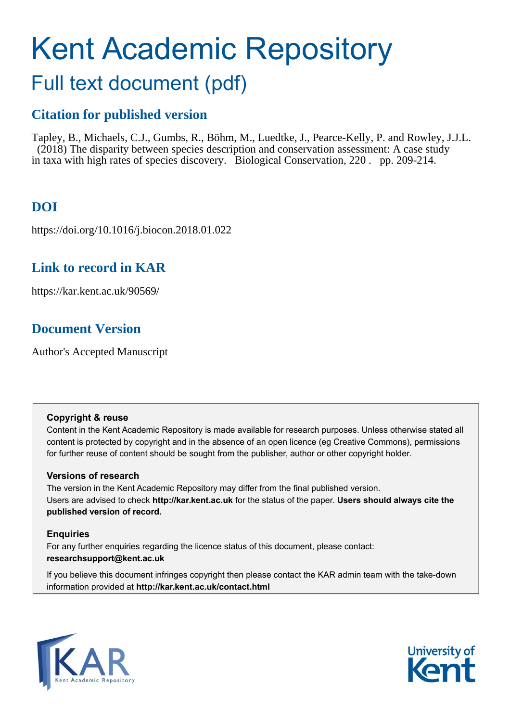# Kent Academic Repository Full text document (pdf)

# **Citation for published version**

Tapley, B., Michaels, C.J., Gumbs, R., Böhm, M., Luedtke, J., Pearce-Kelly, P. and Rowley, J.J.L. (2018) The disparity between species description and conservation assessment: A case study in taxa with high rates of species discovery. Biological Conservation, 220 . pp. 209-214.

# **DOI**

https://doi.org/10.1016/j.biocon.2018.01.022

# **Link to record in KAR**

https://kar.kent.ac.uk/90569/

# **Document Version**

Author's Accepted Manuscript

## **Copyright & reuse**

Content in the Kent Academic Repository is made available for research purposes. Unless otherwise stated all content is protected by copyright and in the absence of an open licence (eg Creative Commons), permissions for further reuse of content should be sought from the publisher, author or other copyright holder.

## **Versions of research**

The version in the Kent Academic Repository may differ from the final published version. Users are advised to check **http://kar.kent.ac.uk** for the status of the paper. **Users should always cite the published version of record.**

## **Enquiries**

For any further enquiries regarding the licence status of this document, please contact: **researchsupport@kent.ac.uk**

If you believe this document infringes copyright then please contact the KAR admin team with the take-down information provided at **http://kar.kent.ac.uk/contact.html**



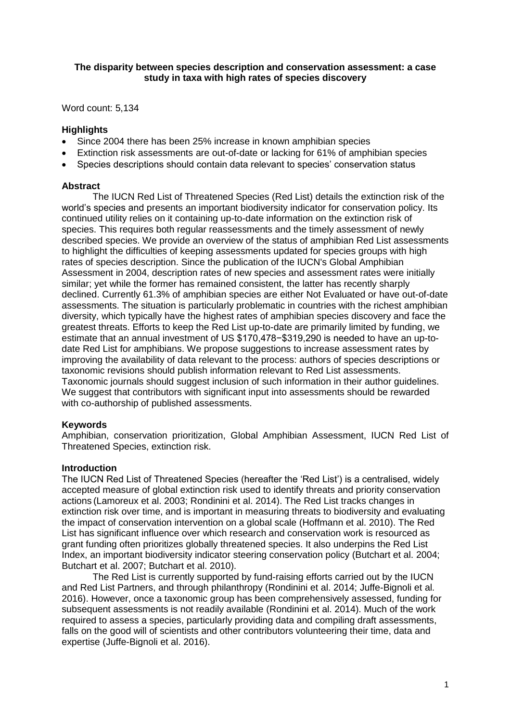#### **The disparity between species description and conservation assessment: a case study in taxa with high rates of species discovery**

Word count: 5,134

## **Highlights**

- Since 2004 there has been 25% increase in known amphibian species
- Extinction risk assessments are out-of-date or lacking for 61% of amphibian species
- Species descriptions should contain data relevant to species' conservation status

#### **Abstract**

The IUCN Red List of Threatened Species (Red List) details the extinction risk of the world's species and presents an important biodiversity indicator for conservation policy. Its continued utility relies on it containing up-to-date information on the extinction risk of species. This requires both regular reassessments and the timely assessment of newly described species. We provide an overview of the status of amphibian Red List assessments to highlight the difficulties of keeping assessments updated for species groups with high rates of species description. Since the publication of the IUCN's Global Amphibian Assessment in 2004, description rates of new species and assessment rates were initially similar; yet while the former has remained consistent, the latter has recently sharply declined. Currently 61.3% of amphibian species are either Not Evaluated or have out-of-date assessments. The situation is particularly problematic in countries with the richest amphibian diversity, which typically have the highest rates of amphibian species discovery and face the greatest threats. Efforts to keep the Red List up-to-date are primarily limited by funding, we estimate that an annual investment of US \$170,478−\$319,290 is needed to have an up-todate Red List for amphibians. We propose suggestions to increase assessment rates by improving the availability of data relevant to the process: authors of species descriptions or taxonomic revisions should publish information relevant to Red List assessments. Taxonomic journals should suggest inclusion of such information in their author guidelines. We suggest that contributors with significant input into assessments should be rewarded with co-authorship of published assessments.

#### **Keywords**

Amphibian, conservation prioritization, Global Amphibian Assessment, IUCN Red List of Threatened Species, extinction risk.

## **Introduction**

The IUCN Red List of Threatened Species (hereafter the 'Red List') is a centralised, widely accepted measure of global extinction risk used to identify threats and priority conservation actions (Lamoreux et al. 2003; Rondinini et al. 2014). The Red List tracks changes in extinction risk over time, and is important in measuring threats to biodiversity and evaluating the impact of conservation intervention on a global scale (Hoffmann et al. 2010). The Red List has significant influence over which research and conservation work is resourced as grant funding often prioritizes globally threatened species. It also underpins the Red List Index, an important biodiversity indicator steering conservation policy (Butchart et al. 2004; Butchart et al. 2007; Butchart et al. 2010).

The Red List is currently supported by fund-raising efforts carried out by the IUCN and Red List Partners, and through philanthropy (Rondinini et al. 2014; Juffe-Bignoli et al. 2016). However, once a taxonomic group has been comprehensively assessed, funding for subsequent assessments is not readily available (Rondinini et al. 2014). Much of the work required to assess a species, particularly providing data and compiling draft assessments, falls on the good will of scientists and other contributors volunteering their time, data and expertise (Juffe-Bignoli et al. 2016).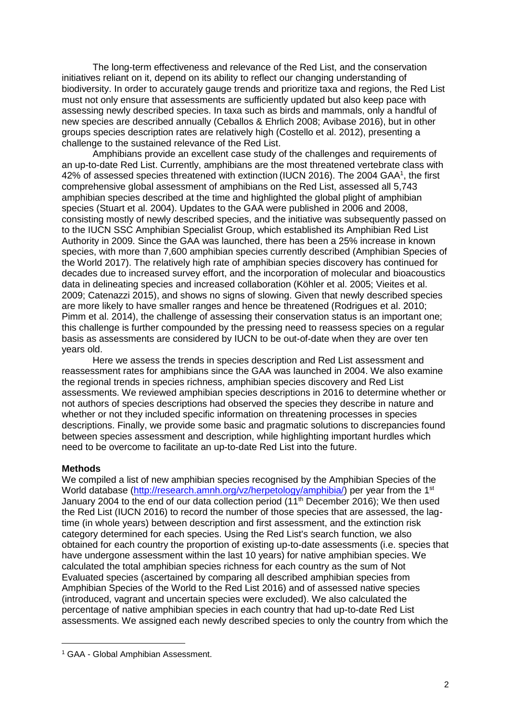The long-term effectiveness and relevance of the Red List, and the conservation initiatives reliant on it, depend on its ability to reflect our changing understanding of biodiversity. In order to accurately gauge trends and prioritize taxa and regions, the Red List must not only ensure that assessments are sufficiently updated but also keep pace with assessing newly described species. In taxa such as birds and mammals, only a handful of new species are described annually (Ceballos & Ehrlich 2008; Avibase 2016), but in other groups species description rates are relatively high (Costello et al. 2012), presenting a challenge to the sustained relevance of the Red List.

Amphibians provide an excellent case study of the challenges and requirements of an up-to-date Red List. Currently, amphibians are the most threatened vertebrate class with 42% of assessed species threatened with extinction (IUCN 2016). The 2004 GAA<sup>1</sup>, the first comprehensive global assessment of amphibians on the Red List, assessed all 5,743 amphibian species described at the time and highlighted the global plight of amphibian species (Stuart et al. 2004). Updates to the GAA were published in 2006 and 2008, consisting mostly of newly described species, and the initiative was subsequently passed on to the IUCN SSC Amphibian Specialist Group, which established its Amphibian Red List Authority in 2009. Since the GAA was launched, there has been a 25% increase in known species, with more than 7,600 amphibian species currently described (Amphibian Species of the World 2017). The relatively high rate of amphibian species discovery has continued for decades due to increased survey effort, and the incorporation of molecular and bioacoustics data in delineating species and increased collaboration (Köhler et al. 2005; Vieites et al. 2009; Catenazzi 2015), and shows no signs of slowing. Given that newly described species are more likely to have smaller ranges and hence be threatened (Rodrigues et al. 2010; Pimm et al. 2014), the challenge of assessing their conservation status is an important one; this challenge is further compounded by the pressing need to reassess species on a regular basis as assessments are considered by IUCN to be out-of-date when they are over ten years old.

Here we assess the trends in species description and Red List assessment and reassessment rates for amphibians since the GAA was launched in 2004. We also examine the regional trends in species richness, amphibian species discovery and Red List assessments. We reviewed amphibian species descriptions in 2016 to determine whether or not authors of species descriptions had observed the species they describe in nature and whether or not they included specific information on threatening processes in species descriptions. Finally, we provide some basic and pragmatic solutions to discrepancies found between species assessment and description, while highlighting important hurdles which need to be overcome to facilitate an up-to-date Red List into the future.

#### **Methods**

We compiled a list of new amphibian species recognised by the Amphibian Species of the World database [\(http://research.amnh.org/vz/herpetology/amphibia/\)](http://research.amnh.org/vz/herpetology/amphibia/) per year from the 1<sup>st</sup> January 2004 to the end of our data collection period (11<sup>th</sup> December 2016); We then used the Red List (IUCN 2016) to record the number of those species that are assessed, the lagtime (in whole years) between description and first assessment, and the extinction risk category determined for each species. Using the Red List's search function, we also obtained for each country the proportion of existing up-to-date assessments (i.e. species that have undergone assessment within the last 10 years) for native amphibian species. We calculated the total amphibian species richness for each country as the sum of Not Evaluated species (ascertained by comparing all described amphibian species from Amphibian Species of the World to the Red List 2016) and of assessed native species (introduced, vagrant and uncertain species were excluded). We also calculated the percentage of native amphibian species in each country that had up-to-date Red List assessments. We assigned each newly described species to only the country from which the

<sup>1</sup> GAA - Global Amphibian Assessment.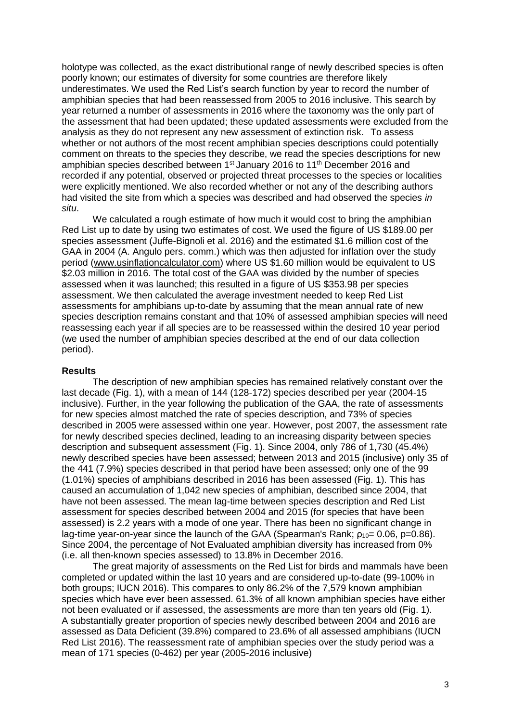holotype was collected, as the exact distributional range of newly described species is often poorly known; our estimates of diversity for some countries are therefore likely underestimates. We used the Red List's search function by year to record the number of amphibian species that had been reassessed from 2005 to 2016 inclusive. This search by year returned a number of assessments in 2016 where the taxonomy was the only part of the assessment that had been updated; these updated assessments were excluded from the analysis as they do not represent any new assessment of extinction risk. To assess whether or not authors of the most recent amphibian species descriptions could potentially comment on threats to the species they describe, we read the species descriptions for new amphibian species described between 1<sup>st</sup> January 2016 to 11<sup>th</sup> December 2016 and recorded if any potential, observed or projected threat processes to the species or localities were explicitly mentioned. We also recorded whether or not any of the describing authors had visited the site from which a species was described and had observed the species *in situ*.

We calculated a rough estimate of how much it would cost to bring the amphibian Red List up to date by using two estimates of cost. We used the figure of US \$189.00 per species assessment (Juffe-Bignoli et al. 2016) and the estimated \$1.6 million cost of the GAA in 2004 (A. Angulo pers. comm.) which was then adjusted for inflation over the study period [\(www.usinflationcalculator.com\)](http://www.usinflationcalculator.com/) where US \$1.60 million would be equivalent to US \$2.03 million in 2016. The total cost of the GAA was divided by the number of species assessed when it was launched; this resulted in a figure of US \$353.98 per species assessment. We then calculated the average investment needed to keep Red List assessments for amphibians up-to-date by assuming that the mean annual rate of new species description remains constant and that 10% of assessed amphibian species will need reassessing each year if all species are to be reassessed within the desired 10 year period (we used the number of amphibian species described at the end of our data collection period).

#### **Results**

The description of new amphibian species has remained relatively constant over the last decade (Fig. 1), with a mean of 144 (128-172) species described per year (2004-15 inclusive). Further, in the year following the publication of the GAA, the rate of assessments for new species almost matched the rate of species description, and 73% of species described in 2005 were assessed within one year. However, post 2007, the assessment rate for newly described species declined, leading to an increasing disparity between species description and subsequent assessment (Fig. 1). Since 2004, only 786 of 1,730 (45.4%) newly described species have been assessed; between 2013 and 2015 (inclusive) only 35 of the 441 (7.9%) species described in that period have been assessed; only one of the 99 (1.01%) species of amphibians described in 2016 has been assessed (Fig. 1). This has caused an accumulation of 1,042 new species of amphibian, described since 2004, that have not been assessed. The mean lag-time between species description and Red List assessment for species described between 2004 and 2015 (for species that have been assessed) is 2.2 years with a mode of one year. There has been no significant change in lag-time year-on-year since the launch of the GAA (Spearman's Rank;  $\rho_{10}= 0.06$ , p=0.86). Since 2004, the percentage of Not Evaluated amphibian diversity has increased from 0% (i.e. all then-known species assessed) to 13.8% in December 2016.

The great majority of assessments on the Red List for birds and mammals have been completed or updated within the last 10 years and are considered up-to-date (99-100% in both groups; IUCN 2016). This compares to only 86.2% of the 7,579 known amphibian species which have ever been assessed. 61.3% of all known amphibian species have either not been evaluated or if assessed, the assessments are more than ten years old (Fig. 1). A substantially greater proportion of species newly described between 2004 and 2016 are assessed as Data Deficient (39.8%) compared to 23.6% of all assessed amphibians (IUCN Red List 2016). The reassessment rate of amphibian species over the study period was a mean of 171 species (0-462) per year (2005-2016 inclusive)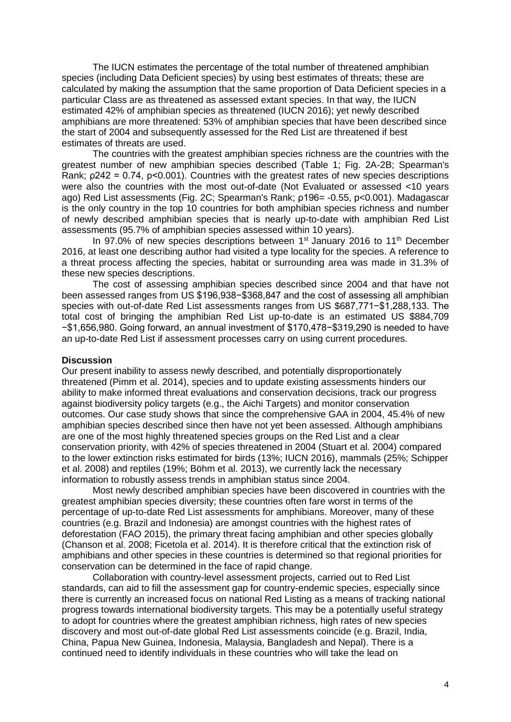The IUCN estimates the percentage of the total number of threatened amphibian species (including Data Deficient species) by using best estimates of threats; these are calculated by making the assumption that the same proportion of Data Deficient species in a particular Class are as threatened as assessed extant species. In that way, the IUCN estimated 42% of amphibian species as threatened (IUCN 2016); yet newly described amphibians are more threatened: 53% of amphibian species that have been described since the start of 2004 and subsequently assessed for the Red List are threatened if best estimates of threats are used.

The countries with the greatest amphibian species richness are the countries with the greatest number of new amphibian species described (Table 1; Fig. 2A-2B; Spearman's Rank; ρ242 = 0.74, p<0.001). Countries with the greatest rates of new species descriptions were also the countries with the most out-of-date (Not Evaluated or assessed <10 years ago) Red List assessments (Fig. 2C; Spearman's Rank; ρ196= -0.55, p<0.001). Madagascar is the only country in the top 10 countries for both amphibian species richness and number of newly described amphibian species that is nearly up-to-date with amphibian Red List assessments (95.7% of amphibian species assessed within 10 years).

In 97.0% of new species descriptions between 1<sup>st</sup> January 2016 to 11<sup>th</sup> December 2016, at least one describing author had visited a type locality for the species. A reference to a threat process affecting the species, habitat or surrounding area was made in 31.3% of these new species descriptions.

The cost of assessing amphibian species described since 2004 and that have not been assessed ranges from US \$196,938−\$368,847 and the cost of assessing all amphibian species with out-of-date Red List assessments ranges from US \$687,771−\$1,288,133. The total cost of bringing the amphibian Red List up-to-date is an estimated US \$884,709 −\$1,656,980. Going forward, an annual investment of \$170,478−\$319,290 is needed to have an up-to-date Red List if assessment processes carry on using current procedures.

#### **Discussion**

Our present inability to assess newly described, and potentially disproportionately threatened (Pimm et al. 2014), species and to update existing assessments hinders our ability to make informed threat evaluations and conservation decisions, track our progress against biodiversity policy targets (e.g., the Aichi Targets) and monitor conservation outcomes. Our case study shows that since the comprehensive GAA in 2004, 45.4% of new amphibian species described since then have not yet been assessed. Although amphibians are one of the most highly threatened species groups on the Red List and a clear conservation priority, with 42% of species threatened in 2004 (Stuart et al. 2004) compared to the lower extinction risks estimated for birds (13%; IUCN 2016), mammals (25%; Schipper et al. 2008) and reptiles (19%; Böhm et al. 2013), we currently lack the necessary information to robustly assess trends in amphibian status since 2004.

Most newly described amphibian species have been discovered in countries with the greatest amphibian species diversity; these countries often fare worst in terms of the percentage of up-to-date Red List assessments for amphibians. Moreover, many of these countries (e.g. Brazil and Indonesia) are amongst countries with the highest rates of deforestation (FAO 2015), the primary threat facing amphibian and other species globally (Chanson et al. 2008; Ficetola et al. 2014). It is therefore critical that the extinction risk of amphibians and other species in these countries is determined so that regional priorities for conservation can be determined in the face of rapid change.

Collaboration with country-level assessment projects, carried out to Red List standards, can aid to fill the assessment gap for country-endemic species, especially since there is currently an increased focus on national Red Listing as a means of tracking national progress towards international biodiversity targets. This may be a potentially useful strategy to adopt for countries where the greatest amphibian richness, high rates of new species discovery and most out-of-date global Red List assessments coincide (e.g. Brazil, India, China, Papua New Guinea, Indonesia, Malaysia, Bangladesh and Nepal). There is a continued need to identify individuals in these countries who will take the lead on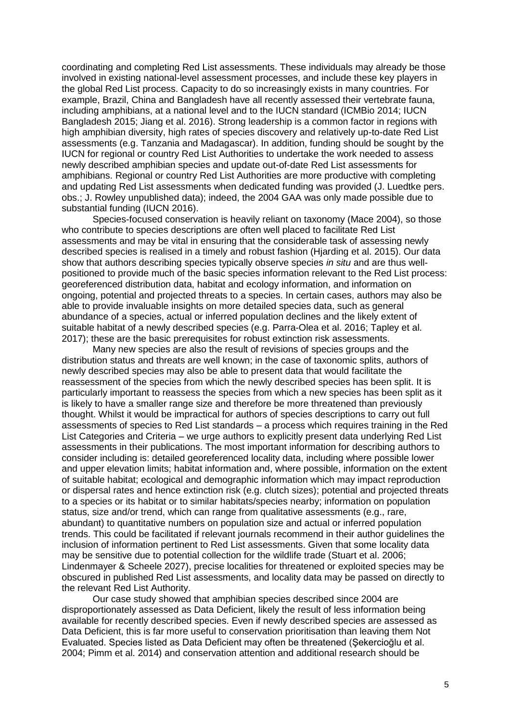coordinating and completing Red List assessments. These individuals may already be those involved in existing national-level assessment processes, and include these key players in the global Red List process. Capacity to do so increasingly exists in many countries. For example, Brazil, China and Bangladesh have all recently assessed their vertebrate fauna, including amphibians, at a national level and to the IUCN standard (ICMBio 2014; IUCN Bangladesh 2015; Jiang et al. 2016). Strong leadership is a common factor in regions with high amphibian diversity, high rates of species discovery and relatively up-to-date Red List assessments (e.g. Tanzania and Madagascar). In addition, funding should be sought by the IUCN for regional or country Red List Authorities to undertake the work needed to assess newly described amphibian species and update out-of-date Red List assessments for amphibians. Regional or country Red List Authorities are more productive with completing and updating Red List assessments when dedicated funding was provided (J. Luedtke pers. obs.; J. Rowley unpublished data); indeed, the 2004 GAA was only made possible due to substantial funding (IUCN 2016).

Species-focused conservation is heavily reliant on taxonomy (Mace 2004), so those who contribute to species descriptions are often well placed to facilitate Red List assessments and may be vital in ensuring that the considerable task of assessing newly described species is realised in a timely and robust fashion (Hjarding et al. 2015). Our data show that authors describing species typically observe species *in situ* and are thus wellpositioned to provide much of the basic species information relevant to the Red List process: georeferenced distribution data, habitat and ecology information, and information on ongoing, potential and projected threats to a species. In certain cases, authors may also be able to provide invaluable insights on more detailed species data, such as general abundance of a species, actual or inferred population declines and the likely extent of suitable habitat of a newly described species (e.g. Parra-Olea et al. 2016; Tapley et al. 2017); these are the basic prerequisites for robust extinction risk assessments.

Many new species are also the result of revisions of species groups and the distribution status and threats are well known; in the case of taxonomic splits, authors of newly described species may also be able to present data that would facilitate the reassessment of the species from which the newly described species has been split. It is particularly important to reassess the species from which a new species has been split as it is likely to have a smaller range size and therefore be more threatened than previously thought. Whilst it would be impractical for authors of species descriptions to carry out full assessments of species to Red List standards – a process which requires training in the Red List Categories and Criteria – we urge authors to explicitly present data underlying Red List assessments in their publications. The most important information for describing authors to consider including is: detailed georeferenced locality data, including where possible lower and upper elevation limits; habitat information and, where possible, information on the extent of suitable habitat; ecological and demographic information which may impact reproduction or dispersal rates and hence extinction risk (e.g. clutch sizes); potential and projected threats to a species or its habitat or to similar habitats/species nearby; information on population status, size and/or trend, which can range from qualitative assessments (e.g., rare, abundant) to quantitative numbers on population size and actual or inferred population trends. This could be facilitated if relevant journals recommend in their author guidelines the inclusion of information pertinent to Red List assessments. Given that some locality data may be sensitive due to potential collection for the wildlife trade (Stuart et al. 2006; Lindenmayer & Scheele 2027), precise localities for threatened or exploited species may be obscured in published Red List assessments, and locality data may be passed on directly to the relevant Red List Authority.

Our case study showed that amphibian species described since 2004 are disproportionately assessed as Data Deficient, likely the result of less information being available for recently described species. Even if newly described species are assessed as Data Deficient, this is far more useful to conservation prioritisation than leaving them Not Evaluated. Species listed as Data Deficient may often be threatened (Şekercioğlu et al. 2004; Pimm et al. 2014) and conservation attention and additional research should be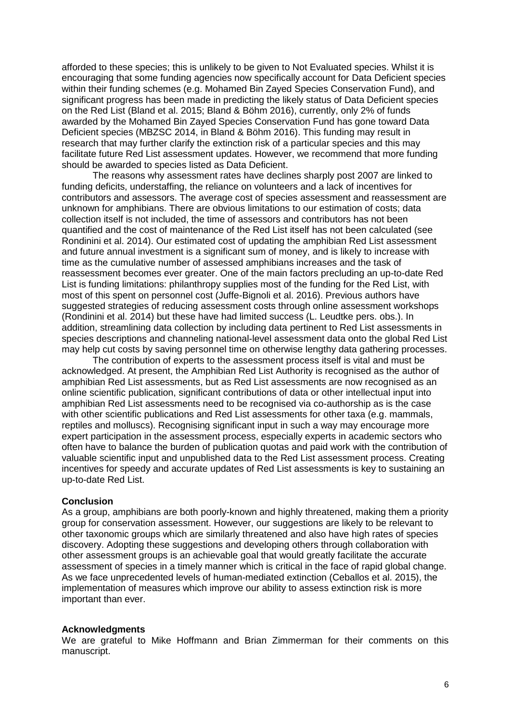afforded to these species; this is unlikely to be given to Not Evaluated species. Whilst it is encouraging that some funding agencies now specifically account for Data Deficient species within their funding schemes (e.g. Mohamed Bin Zayed Species Conservation Fund), and significant progress has been made in predicting the likely status of Data Deficient species on the Red List (Bland et al. 2015; Bland & Böhm 2016), currently, only 2% of funds awarded by the Mohamed Bin Zayed Species Conservation Fund has gone toward Data Deficient species (MBZSC 2014, in Bland & Böhm 2016). This funding may result in research that may further clarify the extinction risk of a particular species and this may facilitate future Red List assessment updates. However, we recommend that more funding should be awarded to species listed as Data Deficient.

The reasons why assessment rates have declines sharply post 2007 are linked to funding deficits, understaffing, the reliance on volunteers and a lack of incentives for contributors and assessors. The average cost of species assessment and reassessment are unknown for amphibians. There are obvious limitations to our estimation of costs; data collection itself is not included, the time of assessors and contributors has not been quantified and the cost of maintenance of the Red List itself has not been calculated (see Rondinini et al. 2014). Our estimated cost of updating the amphibian Red List assessment and future annual investment is a significant sum of money, and is likely to increase with time as the cumulative number of assessed amphibians increases and the task of reassessment becomes ever greater. One of the main factors precluding an up-to-date Red List is funding limitations: philanthropy supplies most of the funding for the Red List, with most of this spent on personnel cost (Juffe-Bignoli et al. 2016). Previous authors have suggested strategies of reducing assessment costs through online assessment workshops (Rondinini et al. 2014) but these have had limited success (L. Leudtke pers. obs.). In addition, streamlining data collection by including data pertinent to Red List assessments in species descriptions and channeling national-level assessment data onto the global Red List may help cut costs by saving personnel time on otherwise lengthy data gathering processes.

The contribution of experts to the assessment process itself is vital and must be acknowledged. At present, the Amphibian Red List Authority is recognised as the author of amphibian Red List assessments, but as Red List assessments are now recognised as an online scientific publication, significant contributions of data or other intellectual input into amphibian Red List assessments need to be recognised via co-authorship as is the case with other scientific publications and Red List assessments for other taxa (e.g. mammals, reptiles and molluscs). Recognising significant input in such a way may encourage more expert participation in the assessment process, especially experts in academic sectors who often have to balance the burden of publication quotas and paid work with the contribution of valuable scientific input and unpublished data to the Red List assessment process. Creating incentives for speedy and accurate updates of Red List assessments is key to sustaining an up-to-date Red List.

#### **Conclusion**

As a group, amphibians are both poorly-known and highly threatened, making them a priority group for conservation assessment. However, our suggestions are likely to be relevant to other taxonomic groups which are similarly threatened and also have high rates of species discovery. Adopting these suggestions and developing others through collaboration with other assessment groups is an achievable goal that would greatly facilitate the accurate assessment of species in a timely manner which is critical in the face of rapid global change. As we face unprecedented levels of human-mediated extinction (Ceballos et al. 2015), the implementation of measures which improve our ability to assess extinction risk is more important than ever.

#### **Acknowledgments**

We are grateful to Mike Hoffmann and Brian Zimmerman for their comments on this manuscript.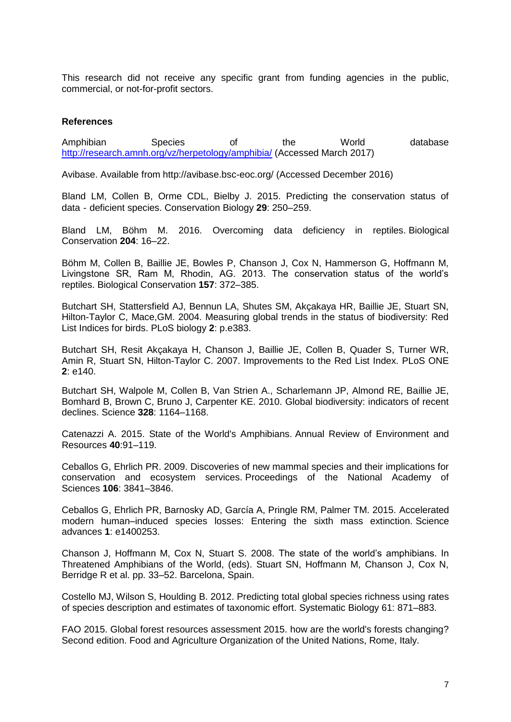This research did not receive any specific grant from funding agencies in the public, commercial, or not-for-profit sectors.

#### **References**

Amphibian Species of the World database <http://research.amnh.org/vz/herpetology/amphibia/>(Accessed March 2017)

Avibase. Available from http://avibase.bsc-eoc.org/ (Accessed December 2016)

Bland LM, Collen B, Orme CDL, Bielby J. 2015. Predicting the conservation status of data‐deficient species. Conservation Biology **29**: 250–259.

Bland LM, Böhm M. 2016. Overcoming data deficiency in reptiles. Biological Conservation **204**: 16–22.

Böhm M, Collen B, Baillie JE, Bowles P, Chanson J, Cox N, Hammerson G, Hoffmann M, Livingstone SR, Ram M, Rhodin, AG. 2013. The conservation status of the world's reptiles. Biological Conservation **157**: 372–385.

Butchart SH, Stattersfield AJ, Bennun LA, Shutes SM, Akçakaya HR, Baillie JE, Stuart SN, Hilton-Taylor C, Mace,GM. 2004. Measuring global trends in the status of biodiversity: Red List Indices for birds. PLoS biology **2**: p.e383.

Butchart SH, Resit Akçakaya H, Chanson J, Baillie JE, Collen B, Quader S, Turner WR, Amin R, Stuart SN, Hilton-Taylor C. 2007. Improvements to the Red List Index. PLoS ONE **2**: e140.

Butchart SH, Walpole M, Collen B, Van Strien A., Scharlemann JP, Almond RE, Baillie JE, Bomhard B, Brown C, Bruno J, Carpenter KE. 2010. Global biodiversity: indicators of recent declines. Science **328**: 1164–1168.

Catenazzi A. 2015. State of the World's Amphibians. Annual Review of Environment and Resources **40**:91–119.

Ceballos G, Ehrlich PR. 2009. Discoveries of new mammal species and their implications for conservation and ecosystem services. Proceedings of the National Academy of Sciences **106**: 3841–3846.

Ceballos G, Ehrlich PR, Barnosky AD, García A, Pringle RM, Palmer TM. 2015. Accelerated modern human–induced species losses: Entering the sixth mass extinction. Science advances **1**: e1400253.

Chanson J, Hoffmann M, Cox N, Stuart S. 2008. The state of the world's amphibians. In Threatened Amphibians of the World, (eds). Stuart SN, Hoffmann M, Chanson J, Cox N, Berridge R et al. pp. 33–52. Barcelona, Spain.

Costello MJ, Wilson S, Houlding B. 2012. Predicting total global species richness using rates of species description and estimates of taxonomic effort. Systematic Biology 61: 871–883.

FAO 2015. Global forest resources assessment 2015. how are the world's forests changing? Second edition. Food and Agriculture Organization of the United Nations, Rome, Italy.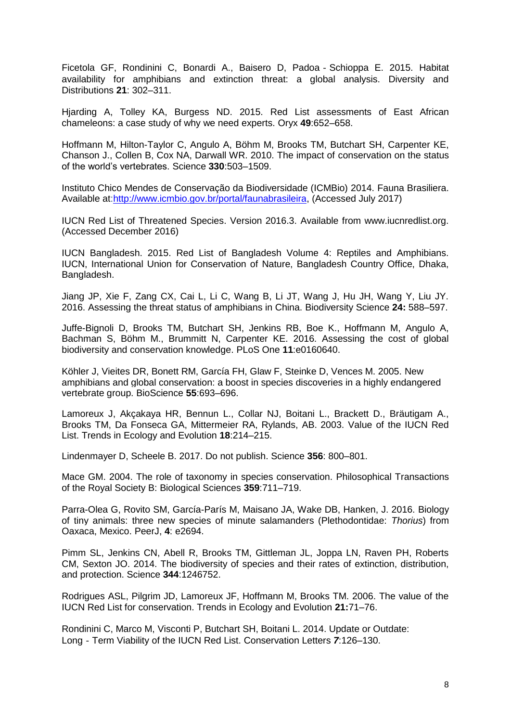Ficetola GF, Rondinini C, Bonardi A., Baisero D, Padoa‐Schioppa E. 2015. Habitat availability for amphibians and extinction threat: a global analysis. Diversity and Distributions **21**: 302–311.

Hjarding A, Tolley KA, Burgess ND. 2015. Red List assessments of East African chameleons: a case study of why we need experts. Oryx **49**:652–658.

Hoffmann M, Hilton-Taylor C, Angulo A, Böhm M, Brooks TM, Butchart SH, Carpenter KE, Chanson J., Collen B, Cox NA, Darwall WR. 2010. The impact of conservation on the status of the world's vertebrates. Science **330**:503–1509.

Instituto Chico Mendes de Conservação da Biodiversidade (ICMBio) 2014. Fauna Brasiliera. Available at[:http://www.icmbio.gov.br/portal/faunabrasileira,](https://webmail.zsl.org/owa/redir.aspx?SURL=wd7bgYXbgWs4ul4DMNzTwziU367AADOEBB3lz3DyvevZK6GHksfUCGgAdAB0AHAAOgAvAC8AdwB3AHcALgBpAGMAbQBiAGkAbwAuAGcAbwB2AC4AYgByAC8AcABvAHIAdABhAGwALwBmAGEAdQBuAGEAYgByAGEAcwBpAGwAZQBpAHIAYQA.&URL=http%3a%2f%2fwww.icmbio.gov.br%2fportal%2ffaunabrasileira) (Accessed July 2017)

IUCN Red List of Threatened Species. Version 2016.3. Available from www.iucnredlist.org. (Accessed December 2016)

IUCN Bangladesh. 2015. Red List of Bangladesh Volume 4: Reptiles and Amphibians. IUCN, International Union for Conservation of Nature, Bangladesh Country Office, Dhaka, Bangladesh.

Jiang JP, Xie F, Zang CX, Cai L, Li C, Wang B, Li JT, Wang J, Hu JH, Wang Y, Liu JY. 2016. Assessing the threat status of amphibians in China. Biodiversity Science **24:** 588–597.

Juffe-Bignoli D, Brooks TM, Butchart SH, Jenkins RB, Boe K., Hoffmann M, Angulo A, Bachman S, Böhm M., Brummitt N, Carpenter KE. 2016. Assessing the cost of global biodiversity and conservation knowledge. PLoS One **11**:e0160640.

Köhler J, Vieites DR, Bonett RM, García FH, Glaw F, Steinke D, Vences M. 2005. New amphibians and global conservation: a boost in species discoveries in a highly endangered vertebrate group. BioScience **55**:693–696.

Lamoreux J, Akçakaya HR, Bennun L., Collar NJ, Boitani L., Brackett D., Bräutigam A., Brooks TM, Da Fonseca GA, Mittermeier RA, Rylands, AB. 2003. Value of the IUCN Red List. Trends in Ecology and Evolution **18**:214–215.

Lindenmayer D, Scheele B. 2017. Do not publish. Science **356**: 800–801.

Mace GM. 2004. The role of taxonomy in species conservation. Philosophical Transactions of the Royal Society B: Biological Sciences **359**:711–719.

Parra-Olea G, Rovito SM, García-París M, Maisano JA, Wake DB, Hanken, J. 2016. Biology of tiny animals: three new species of minute salamanders (Plethodontidae: *Thorius*) from Oaxaca, Mexico. PeerJ, **4**: e2694.

Pimm SL, Jenkins CN, Abell R, Brooks TM, Gittleman JL, Joppa LN, Raven PH, Roberts CM, Sexton JO. 2014. The biodiversity of species and their rates of extinction, distribution, and protection. Science **344**:1246752.

Rodrigues ASL, Pilgrim JD, Lamoreux JF, Hoffmann M, Brooks TM. 2006. The value of the IUCN Red List for conservation. Trends in Ecology and Evolution **21:**71–76.

Rondinini C, Marco M, Visconti P, Butchart SH, Boitani L. 2014. Update or Outdate: Long‐Term Viability of the IUCN Red List. Conservation Letters *7*:126–130.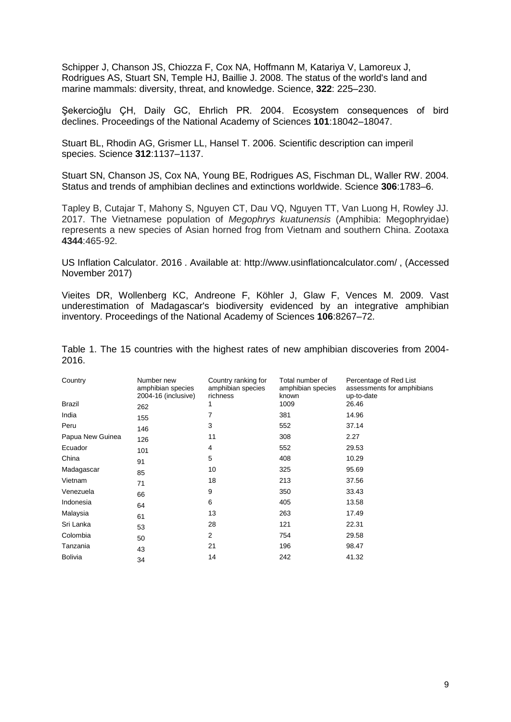Schipper J, Chanson JS, Chiozza F, Cox NA, Hoffmann M, Katariya V, Lamoreux J, Rodrigues AS, Stuart SN, Temple HJ, Baillie J. 2008. The status of the world's land and marine mammals: diversity, threat, and knowledge. Science, **322**: 225–230.

Sekercioğlu CH, Daily GC, Ehrlich PR. 2004. Ecosystem consequences of bird declines. Proceedings of the National Academy of Sciences **101**:18042–18047.

Stuart BL, Rhodin AG, Grismer LL, Hansel T. 2006. Scientific description can imperil species. Science **312**:1137–1137.

Stuart SN, Chanson JS, Cox NA, Young BE, Rodrigues AS, Fischman DL, Waller RW. 2004. Status and trends of amphibian declines and extinctions worldwide. Science **306**:1783–6.

Tapley B, Cutajar T, Mahony S, Nguyen CT, Dau VQ, Nguyen TT, Van Luong H, Rowley JJ. 2017. The Vietnamese population of *Megophrys kuatunensis* (Amphibia: Megophryidae) represents a new species of Asian horned frog from Vietnam and southern China. Zootaxa **4344**:465-92.

US Inflation Calculator. 2016 . Available at: http://www.usinflationcalculator.com/ , (Accessed November 2017)

Vieites DR, Wollenberg KC, Andreone F, Köhler J, Glaw F, Vences M. 2009. Vast underestimation of Madagascar's biodiversity evidenced by an integrative amphibian inventory. Proceedings of the National Academy of Sciences **106**:8267–72.

| Country          | Number new<br>amphibian species<br>2004-16 (inclusive) | Country ranking for<br>amphibian species<br>richness | Total number of<br>amphibian species<br>known | Percentage of Red List<br>assessments for amphibians<br>up-to-date |
|------------------|--------------------------------------------------------|------------------------------------------------------|-----------------------------------------------|--------------------------------------------------------------------|
| Brazil           | 262                                                    |                                                      | 1009                                          | 26.46                                                              |
| India            | 155                                                    |                                                      | 381                                           | 14.96                                                              |
| Peru             | 146                                                    | 3                                                    | 552                                           | 37.14                                                              |
| Papua New Guinea | 126                                                    | 11                                                   | 308                                           | 2.27                                                               |
| Ecuador          | 101                                                    | 4                                                    | 552                                           | 29.53                                                              |
| China            | 91                                                     | 5                                                    | 408                                           | 10.29                                                              |
| Madagascar       | 85                                                     | 10                                                   | 325                                           | 95.69                                                              |
| Vietnam          | 71                                                     | 18                                                   | 213                                           | 37.56                                                              |
| Venezuela        | 66                                                     | 9                                                    | 350                                           | 33.43                                                              |
| Indonesia        | 64                                                     | 6                                                    | 405                                           | 13.58                                                              |
| Malaysia         | 61                                                     | 13                                                   | 263                                           | 17.49                                                              |
| Sri Lanka        | 53                                                     | 28                                                   | 121                                           | 22.31                                                              |
| Colombia         | 50                                                     | $\overline{2}$                                       | 754                                           | 29.58                                                              |
| Tanzania         | 43                                                     | 21                                                   | 196                                           | 98.47                                                              |
| <b>Bolivia</b>   | 34                                                     | 14                                                   | 242                                           | 41.32                                                              |

Table 1. The 15 countries with the highest rates of new amphibian discoveries from 2004- 2016.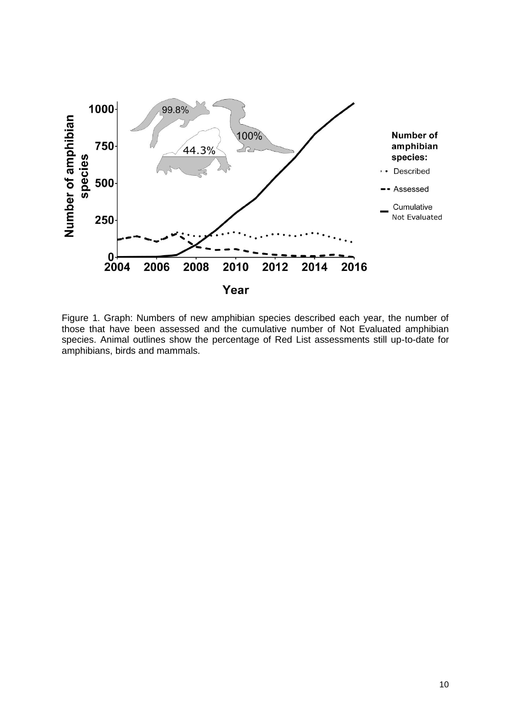

Figure 1. Graph: Numbers of new amphibian species described each year, the number of those that have been assessed and the cumulative number of Not Evaluated amphibian species. Animal outlines show the percentage of Red List assessments still up-to-date for amphibians, birds and mammals.